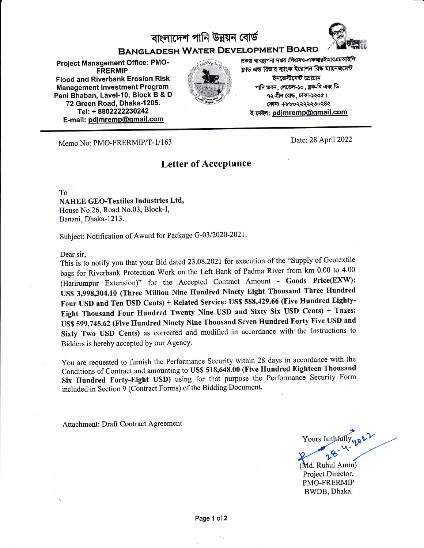# বাংলাদেশ পানি উন্নয়ন বোৰ্ড



## BANGLADESH WATER DEVELOPMENT BOARD

Project Management Office: PMO' FRERMIP Flood and Riverbank Erosion Risk Management lnvestment Program Pani Bhaban, Lavel-10, Block B & D 72 Green Road, Dhaka-1205. Tel: + 8802222230242 E-mail: pdjmremp@gmail.com



প্ৰকল্প ব্যবস্থাপনা দপ্তর :পিএমও-এফআরইআরএমআইপি ফ্রাড এন্ড রিভার ব্যাংক ইরোশন রিষ্ক ম্যানেজমেন্ট ইনভেস্টমেন্ট প্ৰোগ্ৰাম পানি ভবন, লেভেল-১০, ব্লক-বি এবং ডি  $q$ ২ গ্রীন রোড, ঢাকা-১২০৫। CTFIB +bboR\\\eot'8\ ই-মেইল: pdimremp@gmail.com

Memo No: PMO-FRERMIP/T-1/163 Date: 28 April 2022

### Letter of Acceptance

To

#### NAHEE GEo-Textiles Industries Ltd, House No.26, Road No.03, Block-I, Banani, Dhaka-l213.

Subject: Notification of Award for Package G-03/2020-2021.

Dear sir,

This is io notify you that your Bid dated 23.08 .2021 for execution of the "supply of Geotextile bags for Riverbank Protection Work on the Left Bank of Padma River from km 0.00 to 4.00 (Harirumpur Extension)" for the Accepted Contract Amount - Goods Price(EXW): US\$ 3,99g,304.10 (Three Million Nine Hundred Ninety Eight Thousand Three Hundred Four USD and Ten USD Cents) + Related Service: US\$ 588,429.66 (Five Hundred Eighty-Eight Thousand Four Hundred Twenty Nine USD and Sixty Six USD Cents) + Taxes: US\$ 599,745.62 (Five Hundred Ninety Nine Thousand Seven Hundred Forty Five USD and Sixty Two USD Cents) as corrected and modified in accordance with the Instructions to Bidders is hereby accepted by our Agency.

You are requested to furnish the Performance Security within 28 days in accordance with the Conditions of Contract and amounting to US\$ 518,648.00 (Five Hundred Eighteen Thousand Six Hundred Forty-Eight USD) using for that purpose the Perfornance Security Form included in section 9 (contract Forms) of the Bidding Document.

Attachment: Draft Contract Agreement

Yours faithfully, 222

Project Director, PMO-FRERMIP BWDB, Dhaka. (Md. Ruhul Amin)

Page 1 of 2